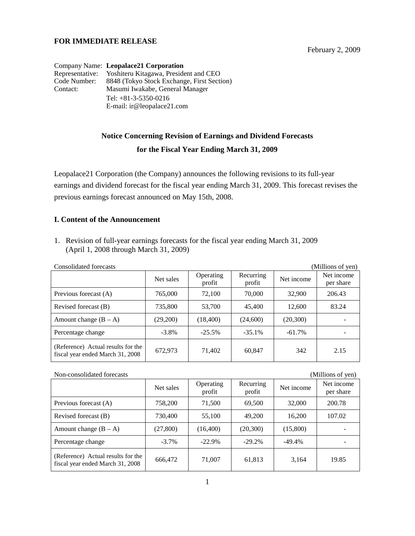## **FOR IMMEDIATE RELEASE**

February 2, 2009

|              | Company Name: Leopalace21 Corporation                 |
|--------------|-------------------------------------------------------|
|              | Representative: Yoshiteru Kitagawa, President and CEO |
| Code Number: | 8848 (Tokyo Stock Exchange, First Section)            |
| Contact:     | Masumi Iwakabe, General Manager                       |
|              | Tel: $+81-3-5350-0216$                                |
|              | E-mail: ir@leopalace21.com                            |

## **Notice Concerning Revision of Earnings and Dividend Forecasts for the Fiscal Year Ending March 31, 2009**

Leopalace21 Corporation (the Company) announces the following revisions to its full-year earnings and dividend forecast for the fiscal year ending March 31, 2009. This forecast revises the previous earnings forecast announced on May 15th, 2008.

## **I. Content of the Announcement**

1. Revision of full-year earnings forecasts for the fiscal year ending March 31, 2009 (April 1, 2008 through March 31, 2009)

| Consolidated forecasts<br>(Millions of yen)                            |           |                     |                     |            |                         |
|------------------------------------------------------------------------|-----------|---------------------|---------------------|------------|-------------------------|
|                                                                        | Net sales | Operating<br>profit | Recurring<br>profit | Net income | Net income<br>per share |
| Previous forecast (A)                                                  | 765,000   | 72,100              | 70,000              | 32,900     | 206.43                  |
| Revised forecast (B)                                                   | 735,800   | 53,700              | 45,400              | 12,600     | 83.24                   |
| Amount change $(B - A)$                                                | (29,200)  | (18,400)            | (24,600)            | (20,300)   |                         |
| Percentage change                                                      | $-3.8\%$  | $-25.5%$            | $-35.1%$            | $-61.7\%$  |                         |
| (Reference) Actual results for the<br>fiscal year ended March 31, 2008 | 672,973   | 71,402              | 60,847              | 342        | 2.15                    |

| Non-consolidated forecasts<br>(Millions of yen)                        |           |                     |                     |            |                         |
|------------------------------------------------------------------------|-----------|---------------------|---------------------|------------|-------------------------|
|                                                                        | Net sales | Operating<br>profit | Recurring<br>profit | Net income | Net income<br>per share |
| Previous forecast (A)                                                  | 758,200   | 71,500              | 69,500              | 32,000     | 200.78                  |
| Revised forecast (B)                                                   | 730,400   | 55,100              | 49,200              | 16,200     | 107.02                  |
| Amount change $(B - A)$                                                | (27, 800) | (16,400)            | (20,300)            | (15,800)   |                         |
| Percentage change                                                      | $-3.7\%$  | $-22.9%$            | $-29.2%$            | $-49.4%$   |                         |
| (Reference) Actual results for the<br>fiscal year ended March 31, 2008 | 666,472   | 71,007              | 61,813              | 3,164      | 19.85                   |

1